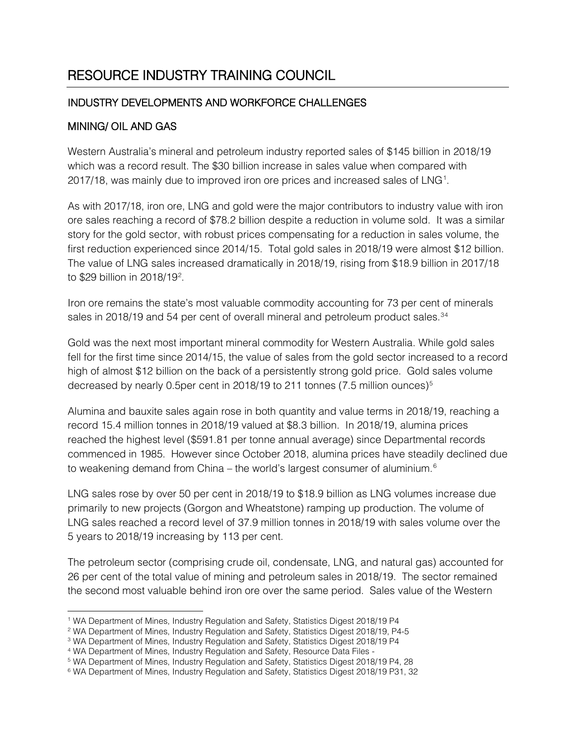# RESOURCE INDUSTRY TRAINING COUNCIL

## INDUSTRY DEVELOPMENTS AND WORKFORCE CHALLENGES

#### MINING/ OIL AND GAS

Western Australia's mineral and petroleum industry reported sales of \$145 billion in 2018/19 which was a record result. The \$30 billion increase in sales value when compared with 20[1](#page-0-0)7/18, was mainly due to improved iron ore prices and increased sales of LNG<sup>1</sup>.

As with 2017/18, iron ore, LNG and gold were the major contributors to industry value with iron ore sales reaching a record of \$78.2 billion despite a reduction in volume sold. It was a similar story for the gold sector, with robust prices compensating for a reduction in sales volume, the first reduction experienced since 2014/15. Total gold sales in 2018/19 were almost \$12 billion. The value of LNG sales increased dramatically in 2018/19, rising from \$18.9 billion in 2017/18 to \$[2](#page-0-1)9 billion in 2018/19<sup>2</sup>.

Iron ore remains the state's most valuable commodity accounting for 73 per cent of minerals sales in 2018/19 and 54 per cent of overall mineral and petroleum product sales.<sup>[3](#page-0-2)[4](#page-0-3)</sup>

Gold was the next most important mineral commodity for Western Australia. While gold sales fell for the first time since 2014/15, the value of sales from the gold sector increased to a record high of almost \$12 billion on the back of a persistently strong gold price. Gold sales volume decreased by nearly 0.[5](#page-0-4)per cent in 2018/19 to 211 tonnes (7.5 million ounces)<sup>5</sup>

Alumina and bauxite sales again rose in both quantity and value terms in 2018/19, reaching a record 15.4 million tonnes in 2018/19 valued at \$8.3 billion. In 2018/19, alumina prices reached the highest level (\$591.81 per tonne annual average) since Departmental records commenced in 1985. However since October 2018, alumina prices have steadily declined due to weakening demand from China – the world's largest consumer of aluminium.<sup>[6](#page-0-5)</sup>

LNG sales rose by over 50 per cent in 2018/19 to \$18.9 billion as LNG volumes increase due primarily to new projects (Gorgon and Wheatstone) ramping up production. The volume of LNG sales reached a record level of 37.9 million tonnes in 2018/19 with sales volume over the 5 years to 2018/19 increasing by 113 per cent.

The petroleum sector (comprising crude oil, condensate, LNG, and natural gas) accounted for 26 per cent of the total value of mining and petroleum sales in 2018/19. The sector remained the second most valuable behind iron ore over the same period. Sales value of the Western

<sup>&</sup>lt;sup>1</sup> WA Department of Mines, Industry Regulation and Safety, Statistics Digest 2018/19 P4

<span id="page-0-1"></span><span id="page-0-0"></span><sup>2</sup> WA Department of Mines, Industry Regulation and Safety, Statistics Digest 2018/19, P4-5

<span id="page-0-2"></span><sup>&</sup>lt;sup>3</sup> WA Department of Mines, Industry Regulation and Safety, Statistics Digest 2018/19 P4

<span id="page-0-3"></span><sup>4</sup> WA Department of Mines, Industry Regulation and Safety, Resource Data Files -

<span id="page-0-4"></span><sup>5</sup> WA Department of Mines, Industry Regulation and Safety, Statistics Digest 2018/19 P4, 28

<span id="page-0-5"></span><sup>6</sup> WA Department of Mines, Industry Regulation and Safety, Statistics Digest 2018/19 P31, 32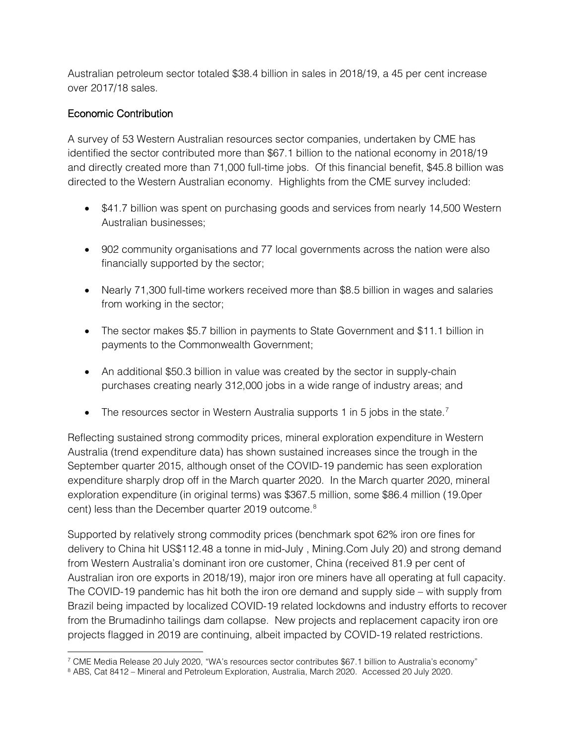Australian petroleum sector totaled \$38.4 billion in sales in 2018/19, a 45 per cent increase over 2017/18 sales.

## Economic Contribution

A survey of 53 Western Australian resources sector companies, undertaken by CME has identified the sector contributed more than \$67.1 billion to the national economy in 2018/19 and directly created more than 71,000 full-time jobs. Of this financial benefit, \$45.8 billion was directed to the Western Australian economy. Highlights from the CME survey included:

- \$41.7 billion was spent on purchasing goods and services from nearly 14,500 Western Australian businesses;
- 902 community organisations and 77 local governments across the nation were also financially supported by the sector;
- Nearly 71,300 full-time workers received more than \$8.5 billion in wages and salaries from working in the sector;
- The sector makes \$5.7 billion in payments to State Government and \$11.1 billion in payments to the Commonwealth Government;
- An additional \$50.3 billion in value was created by the sector in supply-chain purchases creating nearly 312,000 jobs in a wide range of industry areas; and
- The resources sector in Western Australia supports 1 in 5 jobs in the state.<sup>[7](#page-1-0)</sup>

Reflecting sustained strong commodity prices, mineral exploration expenditure in Western Australia (trend expenditure data) has shown sustained increases since the trough in the September quarter 2015, although onset of the COVID-19 pandemic has seen exploration expenditure sharply drop off in the March quarter 2020. In the March quarter 2020, mineral exploration expenditure (in original terms) was \$367.5 million, some \$86.4 million (19.0per cent) less than the December quarter 2019 outcome. [8](#page-1-1)

Supported by relatively strong commodity prices (benchmark spot 62% iron ore fines for delivery to China hit US\$112.48 a tonne in mid-July , Mining.Com July 20) and strong demand from Western Australia's dominant iron ore customer, China (received 81.9 per cent of Australian iron ore exports in 2018/19), major iron ore miners have all operating at full capacity. The COVID-19 pandemic has hit both the iron ore demand and supply side – with supply from Brazil being impacted by localized COVID-19 related lockdowns and industry efforts to recover from the Brumadinho tailings dam collapse. New projects and replacement capacity iron ore projects flagged in 2019 are continuing, albeit impacted by COVID-19 related restrictions.

<sup>7</sup> CME Media Release 20 July 2020, "WA's resources sector contributes \$67.1 billion to Australia's economy"

<span id="page-1-1"></span><span id="page-1-0"></span><sup>8</sup> ABS, Cat 8412 – Mineral and Petroleum Exploration, Australia, March 2020. Accessed 20 July 2020.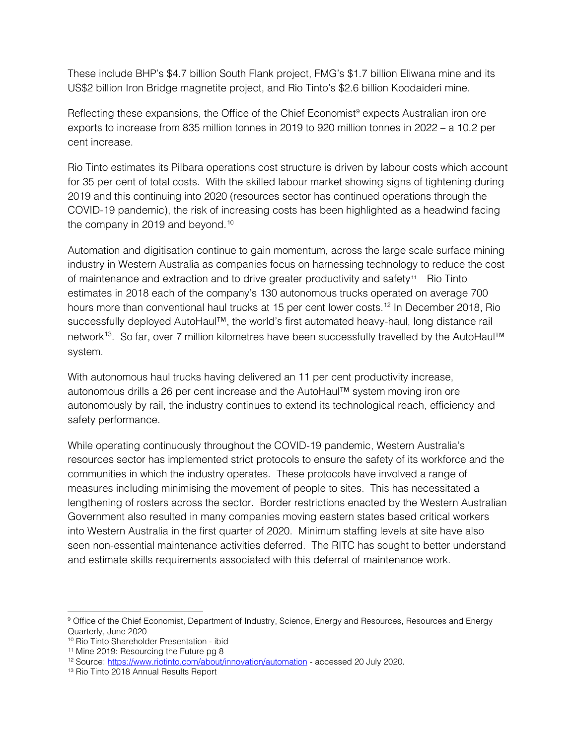These include BHP's \$4.7 billion South Flank project, FMG's \$1.7 billion Eliwana mine and its US\$2 billion Iron Bridge magnetite project, and Rio Tinto's \$2.6 billion Koodaideri mine.

Reflecting these expansions, the Office of the Chief Economist<sup>[9](#page-2-0)</sup> expects Australian iron ore exports to increase from 835 million tonnes in 2019 to 920 million tonnes in 2022 – a 10.2 per cent increase.

Rio Tinto estimates its Pilbara operations cost structure is driven by labour costs which account for 35 per cent of total costs. With the skilled labour market showing signs of tightening during 2019 and this continuing into 2020 (resources sector has continued operations through the COVID-19 pandemic), the risk of increasing costs has been highlighted as a headwind facing the company in 2019 and beyond.<sup>[10](#page-2-1)</sup>

Automation and digitisation continue to gain momentum, across the large scale surface mining industry in Western Australia as companies focus on harnessing technology to reduce the cost of maintenance and extraction and to drive greater productivity and safety<sup>[11](#page-2-2)</sup> Rio Tinto estimates in 2018 each of the company's 130 autonomous trucks operated on average 700 hours more than conventional haul trucks at 15 per cent lower costs.<sup>[12](#page-2-3)</sup> In December 2018, Rio successfully deployed AutoHaul™, the world's first automated heavy-haul, long distance rail network<sup>13</sup>. So far, over 7 million kilometres have been successfully travelled by the AutoHaul™ system.

With autonomous haul trucks having delivered an 11 per cent productivity increase, autonomous drills a 26 per cent increase and the AutoHaul™ system moving iron ore autonomously by rail, the industry continues to extend its technological reach, efficiency and safety performance.

While operating continuously throughout the COVID-19 pandemic, Western Australia's resources sector has implemented strict protocols to ensure the safety of its workforce and the communities in which the industry operates. These protocols have involved a range of measures including minimising the movement of people to sites. This has necessitated a lengthening of rosters across the sector. Border restrictions enacted by the Western Australian Government also resulted in many companies moving eastern states based critical workers into Western Australia in the first quarter of 2020. Minimum staffing levels at site have also seen non-essential maintenance activities deferred. The RITC has sought to better understand and estimate skills requirements associated with this deferral of maintenance work.

<span id="page-2-0"></span><sup>&</sup>lt;sup>9</sup> Office of the Chief Economist, Department of Industry, Science, Energy and Resources, Resources and Energy Quarterly, June 2020

<span id="page-2-1"></span><sup>10</sup> Rio Tinto Shareholder Presentation - ibid

<span id="page-2-2"></span><sup>&</sup>lt;sup>11</sup> Mine 2019: Resourcing the Future pg 8

<span id="page-2-3"></span><sup>&</sup>lt;sup>12</sup> Source:<https://www.riotinto.com/about/innovation/automation> - accessed 20 July 2020.

<span id="page-2-4"></span><sup>13</sup> Rio Tinto 2018 Annual Results Report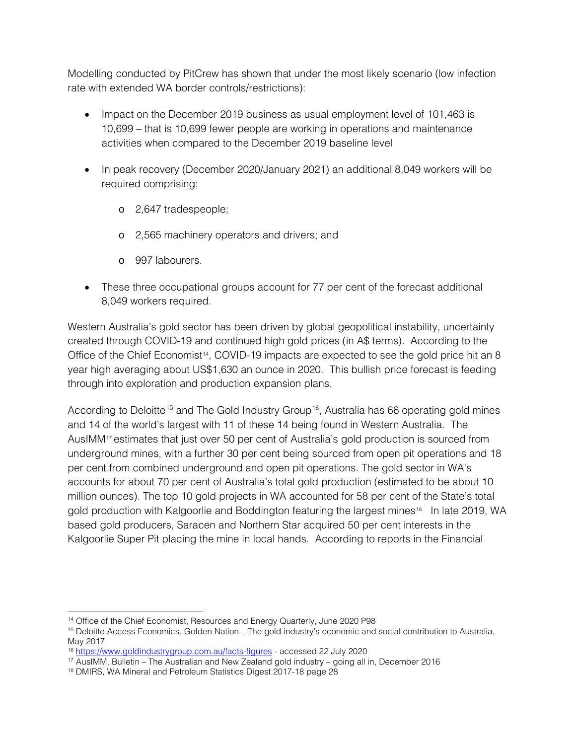Modelling conducted by PitCrew has shown that under the most likely scenario (low infection rate with extended WA border controls/restrictions):

- Impact on the December 2019 business as usual employment level of 101,463 is 10,699 – that is 10,699 fewer people are working in operations and maintenance activities when compared to the December 2019 baseline level
- In peak recovery (December 2020/January 2021) an additional 8,049 workers will be required comprising:
	- o 2,647 tradespeople;
	- o 2,565 machinery operators and drivers; and
	- o 997 labourers.
- These three occupational groups account for 77 per cent of the forecast additional 8,049 workers required.

Western Australia's gold sector has been driven by global geopolitical instability, uncertainty created through COVID-19 and continued high gold prices (in A\$ terms). According to the Office of the Chief Economist<sup>14</sup>, COVID-19 impacts are expected to see the gold price hit an 8 year high averaging about US\$1,630 an ounce in 2020. This bullish price forecast is feeding through into exploration and production expansion plans.

According to Deloitte<sup>15</sup> and The Gold Industry Group<sup>[16](#page-3-2)</sup>, Australia has 66 operating gold mines and 14 of the world's largest with 11 of these 14 being found in Western Australia. The AusIMM[17](#page-3-3) estimates that just over 50 per cent of Australia's gold production is sourced from underground mines, with a further 30 per cent being sourced from open pit operations and 18 per cent from combined underground and open pit operations. The gold sector in WA's accounts for about 70 per cent of Australia's total gold production (estimated to be about 10 million ounces). The top 10 gold projects in WA accounted for 58 per cent of the State's total gold production with Kalgoorlie and Boddington featuring the largest mines<sup>[18](#page-3-4)</sup> In late 2019, WA based gold producers, Saracen and Northern Star acquired 50 per cent interests in the Kalgoorlie Super Pit placing the mine in local hands. According to reports in the Financial

<sup>&</sup>lt;sup>14</sup> Office of the Chief Economist, Resources and Energy Quarterly, June 2020 P98

<span id="page-3-1"></span><span id="page-3-0"></span><sup>15</sup> Deloitte Access Economics, Golden Nation – The gold industry's economic and social contribution to Australia, May 2017

<span id="page-3-2"></span><sup>16</sup> <https://www.goldindustrygroup.com.au/facts-figures> - accessed 22 July 2020

<span id="page-3-3"></span><sup>17</sup> AusIMM, Bulletin – The Australian and New Zealand gold industry – going all in, December 2016

<span id="page-3-4"></span><sup>18</sup> DMIRS, WA Mineral and Petroleum Statistics Digest 2017-18 page 28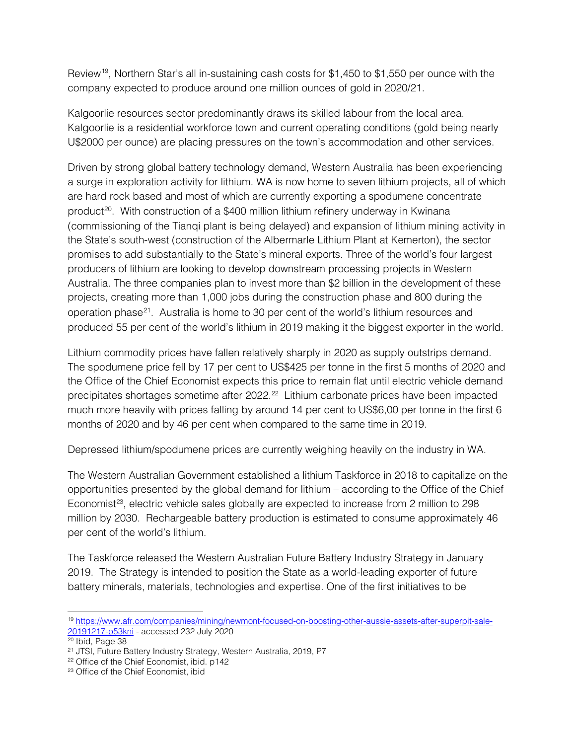Review<sup>[19](#page-4-0)</sup>, Northern Star's all in-sustaining cash costs for \$1,450 to \$1,550 per ounce with the company expected to produce around one million ounces of gold in 2020/21.

Kalgoorlie resources sector predominantly draws its skilled labour from the local area. Kalgoorlie is a residential workforce town and current operating conditions (gold being nearly U\$2000 per ounce) are placing pressures on the town's accommodation and other services.

Driven by strong global battery technology demand, Western Australia has been experiencing a surge in exploration activity for lithium. WA is now home to seven lithium projects, all of which are hard rock based and most of which are currently exporting a spodumene concentrate product<sup>20</sup>. With construction of a \$400 million lithium refinery underway in Kwinana (commissioning of the Tianqi plant is being delayed) and expansion of lithium mining activity in the State's south-west (construction of the Albermarle Lithium Plant at Kemerton), the sector promises to add substantially to the State's mineral exports. Three of the world's four largest producers of lithium are looking to develop downstream processing projects in Western Australia. The three companies plan to invest more than \$2 billion in the development of these projects, creating more than 1,000 jobs during the construction phase and 800 during the operation phase[21](#page-4-2). Australia is home to 30 per cent of the world's lithium resources and produced 55 per cent of the world's lithium in 2019 making it the biggest exporter in the world.

Lithium commodity prices have fallen relatively sharply in 2020 as supply outstrips demand. The spodumene price fell by 17 per cent to US\$425 per tonne in the first 5 months of 2020 and the Office of the Chief Economist expects this price to remain flat until electric vehicle demand precipitates shortages sometime after 2022.[22](#page-4-3) Lithium carbonate prices have been impacted much more heavily with prices falling by around 14 per cent to US\$6,00 per tonne in the first 6 months of 2020 and by 46 per cent when compared to the same time in 2019.

Depressed lithium/spodumene prices are currently weighing heavily on the industry in WA.

The Western Australian Government established a lithium Taskforce in 2018 to capitalize on the opportunities presented by the global demand for lithium – according to the Office of the Chief Economist<sup>[23](#page-4-4)</sup>, electric vehicle sales globally are expected to increase from 2 million to 298 million by 2030. Rechargeable battery production is estimated to consume approximately 46 per cent of the world's lithium.

The Taskforce released the Western Australian Future Battery Industry Strategy in January 2019. The Strategy is intended to position the State as a world-leading exporter of future battery minerals, materials, technologies and expertise. One of the first initiatives to be

<span id="page-4-0"></span><sup>19</sup> [https://www.afr.com/companies/mining/newmont-focused-on-boosting-other-aussie-assets-after-superpit-sale-](https://www.afr.com/companies/mining/newmont-focused-on-boosting-other-aussie-assets-after-superpit-sale-20191217-p53kni)[20191217-p53kni](https://www.afr.com/companies/mining/newmont-focused-on-boosting-other-aussie-assets-after-superpit-sale-20191217-p53kni) - accessed 232 July 2020

<span id="page-4-1"></span><sup>20</sup> Ibid, Page 38

<span id="page-4-2"></span><sup>&</sup>lt;sup>21</sup> JTSI, Future Battery Industry Strategy, Western Australia, 2019, P7

<span id="page-4-3"></span><sup>22</sup> Office of the Chief Economist, ibid. p142

<span id="page-4-4"></span><sup>&</sup>lt;sup>23</sup> Office of the Chief Economist, ibid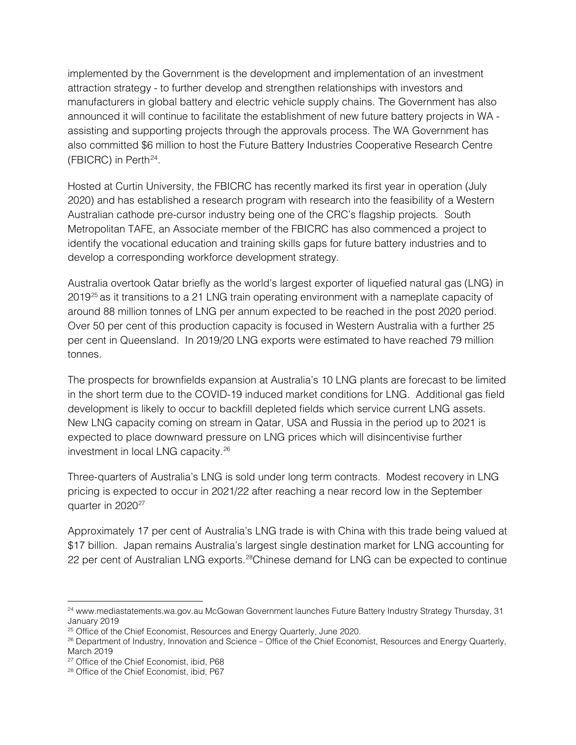implemented by the Government is the development and implementation of an investment attraction strategy - to further develop and strengthen relationships with investors and manufacturers in global battery and electric vehicle supply chains. The Government has also announced it will continue to facilitate the establishment of new future battery projects in WA assisting and supporting projects through the approvals process. The WA Government has also committed \$6 million to host the Future Battery Industries Cooperative Research Centre (FBICRC) in Perth $24$ .

Hosted at Curtin University, the FBICRC has recently marked its first year in operation (July 2020) and has established a research program with research into the feasibility of a Western Australian cathode pre-cursor industry being one of the CRC's flagship projects. South Metropolitan TAFE, an Associate member of the FBICRC has also commenced a project to identify the vocational education and training skills gaps for future battery industries and to develop a corresponding workforce development strategy.

Australia overtook Qatar briefly as the world's largest exporter of liquefied natural gas (LNG) in 2019<sup>[25](#page-5-1)</sup> as it transitions to a 21 LNG train operating environment with a nameplate capacity of around 88 million tonnes of LNG per annum expected to be reached in the post 2020 period. Over 50 per cent of this production capacity is focused in Western Australia with a further 25 per cent in Queensland. In 2019/20 LNG exports were estimated to have reached 79 million tonnes.

The prospects for brownfields expansion at Australia's 10 LNG plants are forecast to be limited in the short term due to the COVID-19 induced market conditions for LNG. Additional gas field development is likely to occur to backfill depleted fields which service current LNG assets. New LNG capacity coming on stream in Qatar, USA and Russia in the period up to 2021 is expected to place downward pressure on LNG prices which will disincentivise further investment in local LNG capacity.[26](#page-5-2)

Three-quarters of Australia's LNG is sold under long term contracts. Modest recovery in LNG pricing is expected to occur in 2021/22 after reaching a near record low in the September quarter in 2020<sup>[27](#page-5-3)</sup>

Approximately 17 per cent of Australia's LNG trade is with China with this trade being valued at \$17 billion. Japan remains Australia's largest single destination market for LNG accounting for 22 per cent of Australian LNG exports.<sup>28</sup>Chinese demand for LNG can be expected to continue

<span id="page-5-0"></span><sup>&</sup>lt;sup>24</sup> www.mediastatements.wa.gov.au McGowan Government launches Future Battery Industry Strategy Thursday, 31 January 2019

<span id="page-5-1"></span><sup>&</sup>lt;sup>25</sup> Office of the Chief Economist, Resources and Energy Quarterly, June 2020.

<span id="page-5-2"></span><sup>26</sup> Department of Industry, Innovation and Science – Office of the Chief Economist, Resources and Energy Quarterly, March 2019

<span id="page-5-3"></span><sup>&</sup>lt;sup>27</sup> Office of the Chief Economist, ibid, P68

<span id="page-5-4"></span><sup>28</sup> Office of the Chief Economist, ibid, P67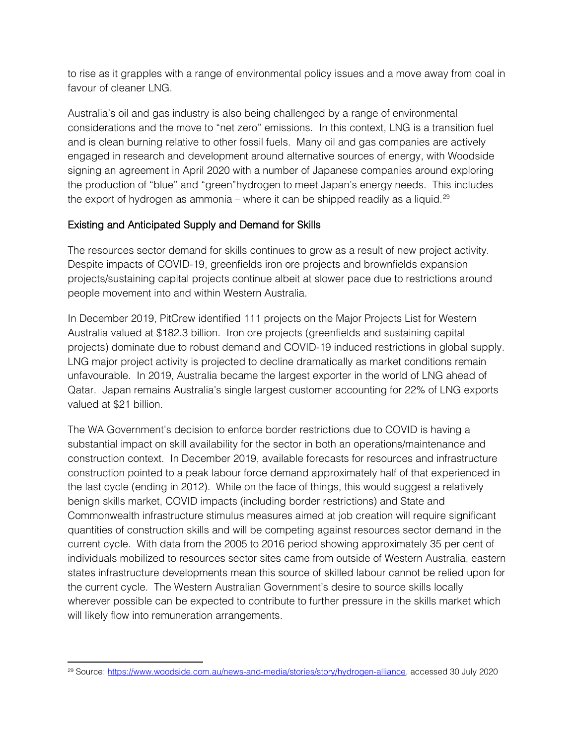to rise as it grapples with a range of environmental policy issues and a move away from coal in favour of cleaner LNG.

Australia's oil and gas industry is also being challenged by a range of environmental considerations and the move to "net zero" emissions. In this context, LNG is a transition fuel and is clean burning relative to other fossil fuels. Many oil and gas companies are actively engaged in research and development around alternative sources of energy, with Woodside signing an agreement in April 2020 with a number of Japanese companies around exploring the production of "blue" and "green"hydrogen to meet Japan's energy needs. This includes the export of hydrogen as ammonia – where it can be shipped readily as a liquid.<sup>[29](#page-6-0)</sup>

#### Existing and Anticipated Supply and Demand for Skills

The resources sector demand for skills continues to grow as a result of new project activity. Despite impacts of COVID-19, greenfields iron ore projects and brownfields expansion projects/sustaining capital projects continue albeit at slower pace due to restrictions around people movement into and within Western Australia.

In December 2019, PitCrew identified 111 projects on the Major Projects List for Western Australia valued at \$182.3 billion. Iron ore projects (greenfields and sustaining capital projects) dominate due to robust demand and COVID-19 induced restrictions in global supply. LNG major project activity is projected to decline dramatically as market conditions remain unfavourable. In 2019, Australia became the largest exporter in the world of LNG ahead of Qatar. Japan remains Australia's single largest customer accounting for 22% of LNG exports valued at \$21 billion.

The WA Government's decision to enforce border restrictions due to COVID is having a substantial impact on skill availability for the sector in both an operations/maintenance and construction context. In December 2019, available forecasts for resources and infrastructure construction pointed to a peak labour force demand approximately half of that experienced in the last cycle (ending in 2012). While on the face of things, this would suggest a relatively benign skills market, COVID impacts (including border restrictions) and State and Commonwealth infrastructure stimulus measures aimed at job creation will require significant quantities of construction skills and will be competing against resources sector demand in the current cycle. With data from the 2005 to 2016 period showing approximately 35 per cent of individuals mobilized to resources sector sites came from outside of Western Australia, eastern states infrastructure developments mean this source of skilled labour cannot be relied upon for the current cycle. The Western Australian Government's desire to source skills locally wherever possible can be expected to contribute to further pressure in the skills market which will likely flow into remuneration arrangements.

<span id="page-6-0"></span><sup>&</sup>lt;sup>29</sup> Source: [https://www.woodside.com.au/news-and-media/stories/story/hydrogen-alliance,](https://www.woodside.com.au/news-and-media/stories/story/hydrogen-alliance) accessed 30 July 2020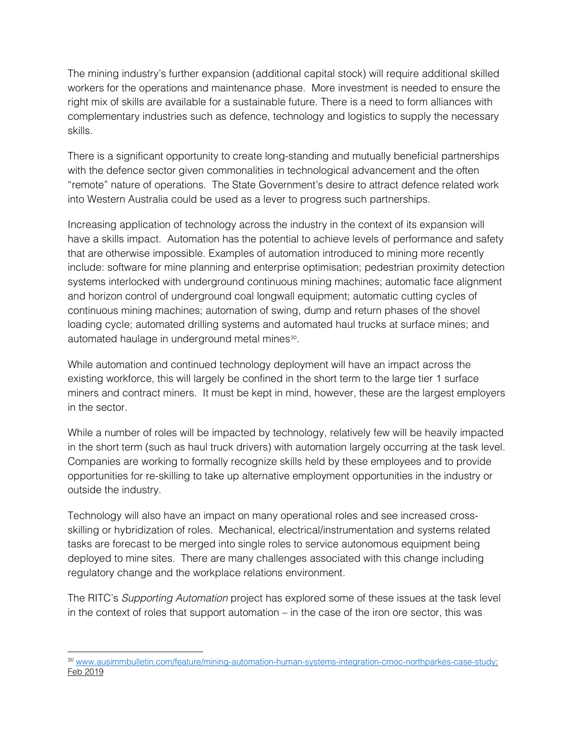The mining industry's further expansion (additional capital stock) will require additional skilled workers for the operations and maintenance phase. More investment is needed to ensure the right mix of skills are available for a sustainable future. There is a need to form alliances with complementary industries such as defence, technology and logistics to supply the necessary skills.

There is a significant opportunity to create long-standing and mutually beneficial partnerships with the defence sector given commonalities in technological advancement and the often "remote" nature of operations. The State Government's desire to attract defence related work into Western Australia could be used as a lever to progress such partnerships.

Increasing application of technology across the industry in the context of its expansion will have a skills impact. Automation has the potential to achieve levels of performance and safety that are otherwise impossible. Examples of automation introduced to mining more recently include: software for mine planning and enterprise optimisation; pedestrian proximity detection systems interlocked with underground continuous mining machines; automatic face alignment and horizon control of underground coal longwall equipment; automatic cutting cycles of continuous mining machines; automation of swing, dump and return phases of the shovel loading cycle; automated drilling systems and automated haul trucks at surface mines; and automated haulage in underground metal mines<sup>[30](#page-7-0)</sup>.

While automation and continued technology deployment will have an impact across the existing workforce, this will largely be confined in the short term to the large tier 1 surface miners and contract miners. It must be kept in mind, however, these are the largest employers in the sector.

While a number of roles will be impacted by technology, relatively few will be heavily impacted in the short term (such as haul truck drivers) with automation largely occurring at the task level. Companies are working to formally recognize skills held by these employees and to provide opportunities for re-skilling to take up alternative employment opportunities in the industry or outside the industry.

Technology will also have an impact on many operational roles and see increased crossskilling or hybridization of roles. Mechanical, electrical/instrumentation and systems related tasks are forecast to be merged into single roles to service autonomous equipment being deployed to mine sites. There are many challenges associated with this change including regulatory change and the workplace relations environment.

The RITC's *Supporting Automation* project has explored some of these issues at the task level in the context of roles that support automation – in the case of the iron ore sector, this was

<span id="page-7-0"></span><sup>&</sup>lt;sup>30</sup> [www.ausimmbulletin.com/feature/mining-automation-human-systems-integration-cmoc-northparkes-case-study:](http://www.ausimmbulletin.com/feature/mining-automation-human-systems-integration-cmoc-northparkes-case-study) Feb 2019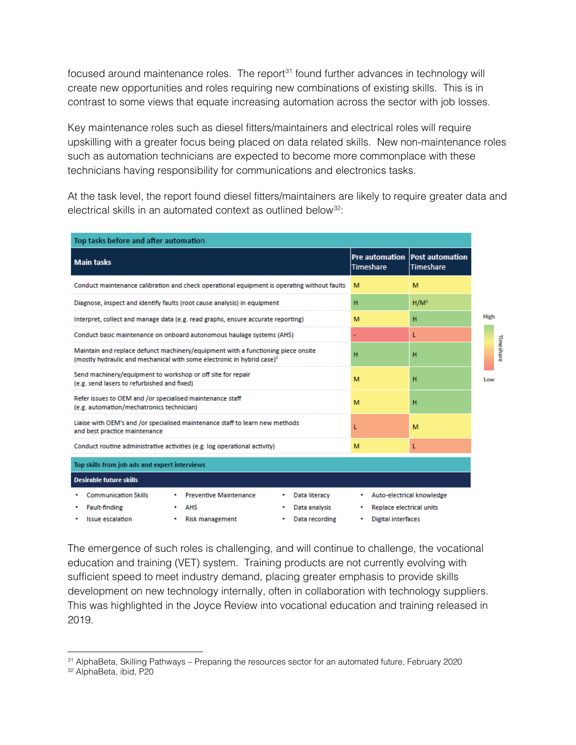focused around maintenance roles. The report<sup>[31](#page-8-0)</sup> found further advances in technology will create new opportunities and roles requiring new combinations of existing skills. This is in contrast to some views that equate increasing automation across the sector with job losses.

Key maintenance roles such as diesel fitters/maintainers and electrical roles will require upskilling with a greater focus being placed on data related skills. New non-maintenance roles such as automation technicians are expected to become more commonplace with these technicians having responsibility for communications and electronics tasks.

At the task level, the report found diesel fitters/maintainers are likely to require greater data and electrical skills in an automated context as outlined below<sup>[32](#page-8-1)</sup>:

| Top tasks before and after automation                                                                                                                         |                               |                                           |                                            |                  |     |             |  |
|---------------------------------------------------------------------------------------------------------------------------------------------------------------|-------------------------------|-------------------------------------------|--------------------------------------------|------------------|-----|-------------|--|
| <b>Main tasks</b>                                                                                                                                             |                               | <b>Pre automation</b><br><b>Timeshare</b> | <b>Post automation</b><br><b>Timeshare</b> |                  |     |             |  |
| Conduct maintenance calibration and check operational equipment is operating without faults                                                                   |                               |                                           | м                                          | м                |     |             |  |
| Diagnose, inspect and identify faults (root cause analysis) in equipment                                                                                      |                               |                                           | н                                          | H/M <sup>1</sup> |     |             |  |
| Interpret, collect and manage data (e.g. read graphs, ensure accurate reporting)                                                                              |                               |                                           | M                                          | н                |     | <b>High</b> |  |
| Conduct basic maintenance on onboard autonomous haulage systems (AHS)                                                                                         |                               |                                           |                                            |                  |     |             |  |
| Maintain and replace defunct machinery/equipment with a functioning piece onsite<br>(mostly hydraulic and mechanical with some electronic in hybrid case) $2$ |                               |                                           | н                                          | н                |     | Timeshare   |  |
| Send machinery/equipment to workshop or off site for repair<br>(e.g. send lasers to refurbished and fixed)                                                    |                               |                                           | M                                          | н                | Low |             |  |
| Refer issues to OEM and /or specialised maintenance staff<br>(e.g. automation/mechatronics technician)                                                        |                               |                                           | м                                          | н                |     |             |  |
| Liaise with OEM's and /or specialised maintenance staff to learn new methods<br>and best practice maintenance                                                 |                               |                                           | L                                          | M                |     |             |  |
| Conduct routine administrative activities (e.g. log operational activity)                                                                                     |                               |                                           | M                                          | L                |     |             |  |
| Top skills from job ads and expert interviews                                                                                                                 |                               |                                           |                                            |                  |     |             |  |
| <b>Desirable future skills</b>                                                                                                                                |                               |                                           |                                            |                  |     |             |  |
| <b>Communication Skills</b>                                                                                                                                   | <b>Preventive Maintenance</b> | Data literacy                             | Auto-electrical knowledge<br>٠             |                  |     |             |  |
| <b>Fault-finding</b>                                                                                                                                          | AHS                           | Data analysis                             | Replace electrical units<br>٠              |                  |     |             |  |
| <b>Issue escalation</b>                                                                                                                                       | • Risk management             | Data recording                            | <b>Digital interfaces</b><br>۰             |                  |     |             |  |

The emergence of such roles is challenging, and will continue to challenge, the vocational education and training (VET) system. Training products are not currently evolving with sufficient speed to meet industry demand, placing greater emphasis to provide skills development on new technology internally, often in collaboration with technology suppliers. This was highlighted in the Joyce Review into vocational education and training released in 2019.

<span id="page-8-0"></span><sup>31</sup> AlphaBeta, Skilling Pathways – Preparing the resources sector for an automated future, February 2020

<span id="page-8-1"></span><sup>32</sup> AlphaBeta, ibid, P20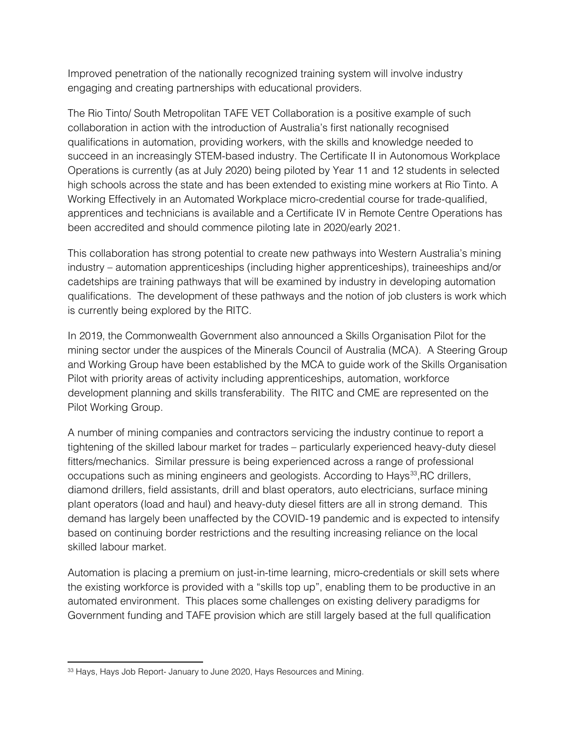Improved penetration of the nationally recognized training system will involve industry engaging and creating partnerships with educational providers.

The Rio Tinto/ South Metropolitan TAFE VET Collaboration is a positive example of such collaboration in action with the introduction of Australia's first nationally recognised qualifications in automation, providing workers, with the skills and knowledge needed to succeed in an increasingly STEM-based industry. The Certificate II in Autonomous Workplace Operations is currently (as at July 2020) being piloted by Year 11 and 12 students in selected high schools across the state and has been extended to existing mine workers at Rio Tinto. A Working Effectively in an Automated Workplace micro-credential course for trade-qualified, apprentices and technicians is available and a Certificate IV in Remote Centre Operations has been accredited and should commence piloting late in 2020/early 2021.

This collaboration has strong potential to create new pathways into Western Australia's mining industry – automation apprenticeships (including higher apprenticeships), traineeships and/or cadetships are training pathways that will be examined by industry in developing automation qualifications. The development of these pathways and the notion of job clusters is work which is currently being explored by the RITC.

In 2019, the Commonwealth Government also announced a Skills Organisation Pilot for the mining sector under the auspices of the Minerals Council of Australia (MCA). A Steering Group and Working Group have been established by the MCA to guide work of the Skills Organisation Pilot with priority areas of activity including apprenticeships, automation, workforce development planning and skills transferability. The RITC and CME are represented on the Pilot Working Group.

A number of mining companies and contractors servicing the industry continue to report a tightening of the skilled labour market for trades – particularly experienced heavy-duty diesel fitters/mechanics. Similar pressure is being experienced across a range of professional occupations such as mining engineers and geologists. According to Hays<sup>33</sup>, RC drillers, diamond drillers, field assistants, drill and blast operators, auto electricians, surface mining plant operators (load and haul) and heavy-duty diesel fitters are all in strong demand. This demand has largely been unaffected by the COVID-19 pandemic and is expected to intensify based on continuing border restrictions and the resulting increasing reliance on the local skilled labour market.

Automation is placing a premium on just-in-time learning, micro-credentials or skill sets where the existing workforce is provided with a "skills top up", enabling them to be productive in an automated environment. This places some challenges on existing delivery paradigms for Government funding and TAFE provision which are still largely based at the full qualification

<span id="page-9-0"></span><sup>33</sup> Hays, Hays Job Report- January to June 2020, Hays Resources and Mining.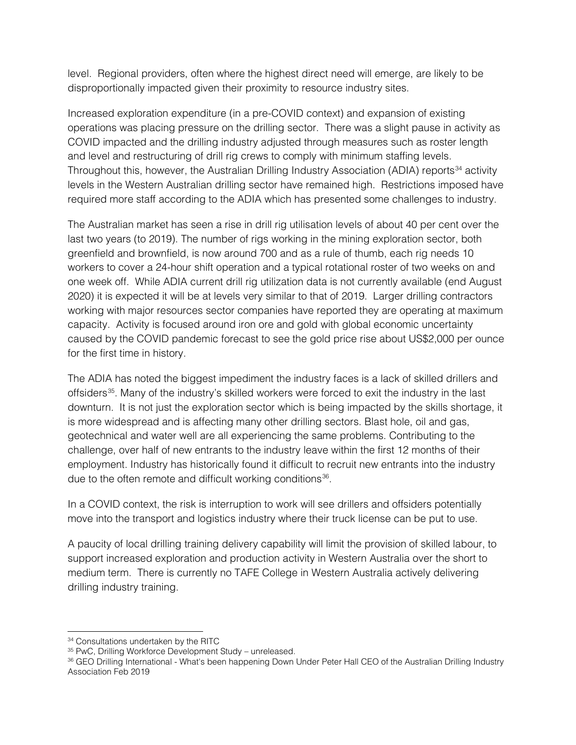level. Regional providers, often where the highest direct need will emerge, are likely to be disproportionally impacted given their proximity to resource industry sites.

Increased exploration expenditure (in a pre-COVID context) and expansion of existing operations was placing pressure on the drilling sector. There was a slight pause in activity as COVID impacted and the drilling industry adjusted through measures such as roster length and level and restructuring of drill rig crews to comply with minimum staffing levels. Throughout this, however, the Australian Drilling Industry Association (ADIA) reports<sup>[34](#page-10-0)</sup> activity levels in the Western Australian drilling sector have remained high. Restrictions imposed have required more staff according to the ADIA which has presented some challenges to industry.

The Australian market has seen a rise in drill rig utilisation levels of about 40 per cent over the last two years (to 2019). The number of rigs working in the mining exploration sector, both greenfield and brownfield, is now around 700 and as a rule of thumb, each rig needs 10 workers to cover a 24-hour shift operation and a typical rotational roster of two weeks on and one week off. While ADIA current drill rig utilization data is not currently available (end August 2020) it is expected it will be at levels very similar to that of 2019. Larger drilling contractors working with major resources sector companies have reported they are operating at maximum capacity. Activity is focused around iron ore and gold with global economic uncertainty caused by the COVID pandemic forecast to see the gold price rise about US\$2,000 per ounce for the first time in history.

The ADIA has noted the biggest impediment the industry faces is a lack of skilled drillers and offsiders<sup>35</sup>. Many of the industry's skilled workers were forced to exit the industry in the last downturn. It is not just the exploration sector which is being impacted by the skills shortage, it is more widespread and is affecting many other drilling sectors. Blast hole, oil and gas, geotechnical and water well are all experiencing the same problems. Contributing to the challenge, over half of new entrants to the industry leave within the first 12 months of their employment. Industry has historically found it difficult to recruit new entrants into the industry due to the often remote and difficult working conditions<sup>36</sup>.

In a COVID context, the risk is interruption to work will see drillers and offsiders potentially move into the transport and logistics industry where their truck license can be put to use.

A paucity of local drilling training delivery capability will limit the provision of skilled labour, to support increased exploration and production activity in Western Australia over the short to medium term. There is currently no TAFE College in Western Australia actively delivering drilling industry training.

<span id="page-10-0"></span><sup>&</sup>lt;sup>34</sup> Consultations undertaken by the RITC

<span id="page-10-1"></span><sup>35</sup> PwC, Drilling Workforce Development Study – unreleased.

<span id="page-10-2"></span><sup>36</sup> GEO Drilling International - What's been happening Down Under Peter Hall CEO of the Australian Drilling Industry Association Feb 2019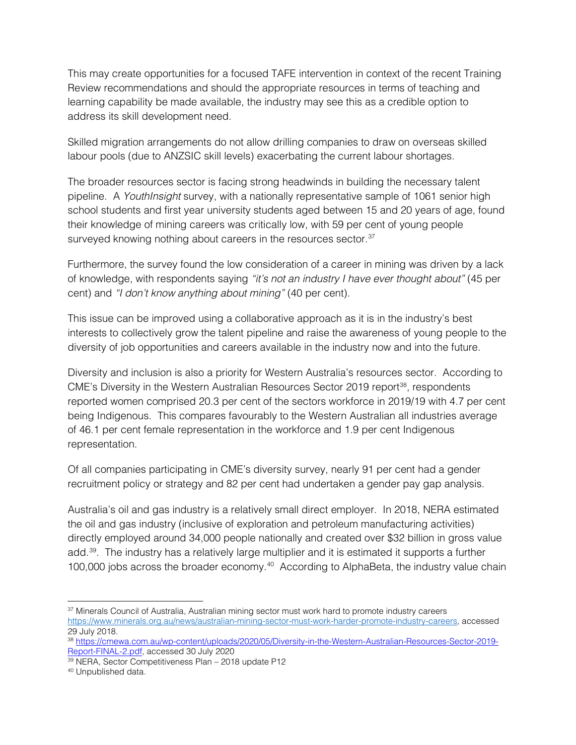This may create opportunities for a focused TAFE intervention in context of the recent Training Review recommendations and should the appropriate resources in terms of teaching and learning capability be made available, the industry may see this as a credible option to address its skill development need.

Skilled migration arrangements do not allow drilling companies to draw on overseas skilled labour pools (due to ANZSIC skill levels) exacerbating the current labour shortages.

The broader resources sector is facing strong headwinds in building the necessary talent pipeline. A *YouthInsight* survey, with a nationally representative sample of 1061 senior high school students and first year university students aged between 15 and 20 years of age, found their knowledge of mining careers was critically low, with 59 per cent of young people surveyed knowing nothing about careers in the resources sector.<sup>[37](#page-11-0)</sup>

Furthermore, the survey found the low consideration of a career in mining was driven by a lack of knowledge, with respondents saying *"it's not an industry I have ever thought about"* (45 per cent) and *"I don't know anything about mining"* (40 per cent).

This issue can be improved using a collaborative approach as it is in the industry's best interests to collectively grow the talent pipeline and raise the awareness of young people to the diversity of job opportunities and careers available in the industry now and into the future.

Diversity and inclusion is also a priority for Western Australia's resources sector. According to CME's Diversity in the Western Australian Resources Sector 2019 report<sup>[38](#page-11-1)</sup>, respondents reported women comprised 20.3 per cent of the sectors workforce in 2019/19 with 4.7 per cent being Indigenous. This compares favourably to the Western Australian all industries average of 46.1 per cent female representation in the workforce and 1.9 per cent Indigenous representation.

Of all companies participating in CME's diversity survey, nearly 91 per cent had a gender recruitment policy or strategy and 82 per cent had undertaken a gender pay gap analysis.

Australia's oil and gas industry is a relatively small direct employer. In 2018, NERA estimated the oil and gas industry (inclusive of exploration and petroleum manufacturing activities) directly employed around 34,000 people nationally and created over \$32 billion in gross value add.[39](#page-11-2). The industry has a relatively large multiplier and it is estimated it supports a further 100,000 jobs across the broader economy.<sup>[40](#page-11-3)</sup> According to AlphaBeta, the industry value chain

<span id="page-11-3"></span><sup>40</sup> Unpublished data.

<span id="page-11-0"></span><sup>&</sup>lt;sup>37</sup> Minerals Council of Australia, Australian mining sector must work hard to promote industry careers [https://www.minerals.org.au/news/australian-mining-sector-must-work-harder-promote-industry-careers,](https://www.minerals.org.au/news/australian-mining-sector-must-work-harder-promote-industry-careers) accessed 29 July 2018.

<span id="page-11-1"></span><sup>38</sup> [https://cmewa.com.au/wp-content/uploads/2020/05/Diversity-in-the-Western-Australian-Resources-Sector-2019-](https://cmewa.com.au/wp-content/uploads/2020/05/Diversity-in-the-Western-Australian-Resources-Sector-2019-Report-FINAL-2.pdf) [Report-FINAL-2.pdf,](https://cmewa.com.au/wp-content/uploads/2020/05/Diversity-in-the-Western-Australian-Resources-Sector-2019-Report-FINAL-2.pdf) accessed 30 July 2020

<span id="page-11-2"></span><sup>39</sup> NERA, Sector Competitiveness Plan – 2018 update P12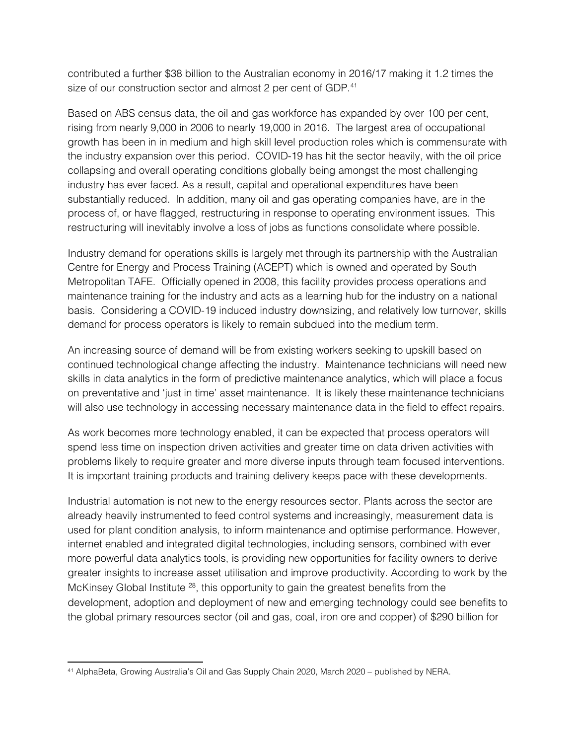contributed a further \$38 billion to the Australian economy in 2016/17 making it 1.2 times the size of our construction sector and almost 2 per cent of GDP.<sup>[41](#page-12-0)</sup>

Based on ABS census data, the oil and gas workforce has expanded by over 100 per cent, rising from nearly 9,000 in 2006 to nearly 19,000 in 2016. The largest area of occupational growth has been in in medium and high skill level production roles which is commensurate with the industry expansion over this period. COVID-19 has hit the sector heavily, with the oil price collapsing and overall operating conditions globally being amongst the most challenging industry has ever faced. As a result, capital and operational expenditures have been substantially reduced. In addition, many oil and gas operating companies have, are in the process of, or have flagged, restructuring in response to operating environment issues. This restructuring will inevitably involve a loss of jobs as functions consolidate where possible.

Industry demand for operations skills is largely met through its partnership with the Australian Centre for Energy and Process Training (ACEPT) which is owned and operated by South Metropolitan TAFE. Officially opened in 2008, this facility provides process operations and maintenance training for the industry and acts as a learning hub for the industry on a national basis. Considering a COVID-19 induced industry downsizing, and relatively low turnover, skills demand for process operators is likely to remain subdued into the medium term.

An increasing source of demand will be from existing workers seeking to upskill based on continued technological change affecting the industry. Maintenance technicians will need new skills in data analytics in the form of predictive maintenance analytics, which will place a focus on preventative and 'just in time' asset maintenance. It is likely these maintenance technicians will also use technology in accessing necessary maintenance data in the field to effect repairs.

As work becomes more technology enabled, it can be expected that process operators will spend less time on inspection driven activities and greater time on data driven activities with problems likely to require greater and more diverse inputs through team focused interventions. It is important training products and training delivery keeps pace with these developments.

Industrial automation is not new to the energy resources sector. Plants across the sector are already heavily instrumented to feed control systems and increasingly, measurement data is used for plant condition analysis, to inform maintenance and optimise performance. However, internet enabled and integrated digital technologies, including sensors, combined with ever more powerful data analytics tools, is providing new opportunities for facility owners to derive greater insights to increase asset utilisation and improve productivity. According to work by the McKinsey Global Institute  $28$ , this opportunity to gain the greatest benefits from the development, adoption and deployment of new and emerging technology could see benefits to the global primary resources sector (oil and gas, coal, iron ore and copper) of \$290 billion for

<span id="page-12-0"></span><sup>41</sup> AlphaBeta, Growing Australia's Oil and Gas Supply Chain 2020, March 2020 – published by NERA.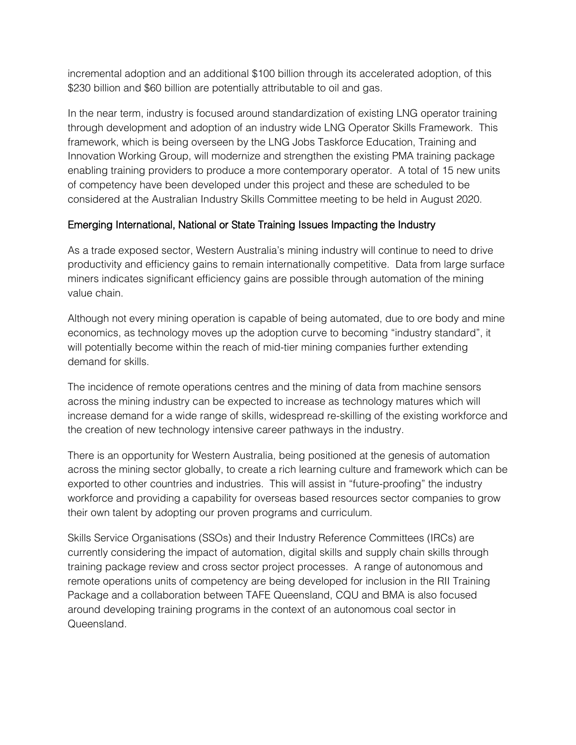incremental adoption and an additional \$100 billion through its accelerated adoption, of this \$230 billion and \$60 billion are potentially attributable to oil and gas.

In the near term, industry is focused around standardization of existing LNG operator training through development and adoption of an industry wide LNG Operator Skills Framework. This framework, which is being overseen by the LNG Jobs Taskforce Education, Training and Innovation Working Group, will modernize and strengthen the existing PMA training package enabling training providers to produce a more contemporary operator. A total of 15 new units of competency have been developed under this project and these are scheduled to be considered at the Australian Industry Skills Committee meeting to be held in August 2020.

#### Emerging International, National or State Training Issues Impacting the Industry

As a trade exposed sector, Western Australia's mining industry will continue to need to drive productivity and efficiency gains to remain internationally competitive. Data from large surface miners indicates significant efficiency gains are possible through automation of the mining value chain.

Although not every mining operation is capable of being automated, due to ore body and mine economics, as technology moves up the adoption curve to becoming "industry standard", it will potentially become within the reach of mid-tier mining companies further extending demand for skills.

The incidence of remote operations centres and the mining of data from machine sensors across the mining industry can be expected to increase as technology matures which will increase demand for a wide range of skills, widespread re-skilling of the existing workforce and the creation of new technology intensive career pathways in the industry.

There is an opportunity for Western Australia, being positioned at the genesis of automation across the mining sector globally, to create a rich learning culture and framework which can be exported to other countries and industries. This will assist in "future-proofing" the industry workforce and providing a capability for overseas based resources sector companies to grow their own talent by adopting our proven programs and curriculum.

Skills Service Organisations (SSOs) and their Industry Reference Committees (IRCs) are currently considering the impact of automation, digital skills and supply chain skills through training package review and cross sector project processes. A range of autonomous and remote operations units of competency are being developed for inclusion in the RII Training Package and a collaboration between TAFE Queensland, CQU and BMA is also focused around developing training programs in the context of an autonomous coal sector in **Queensland**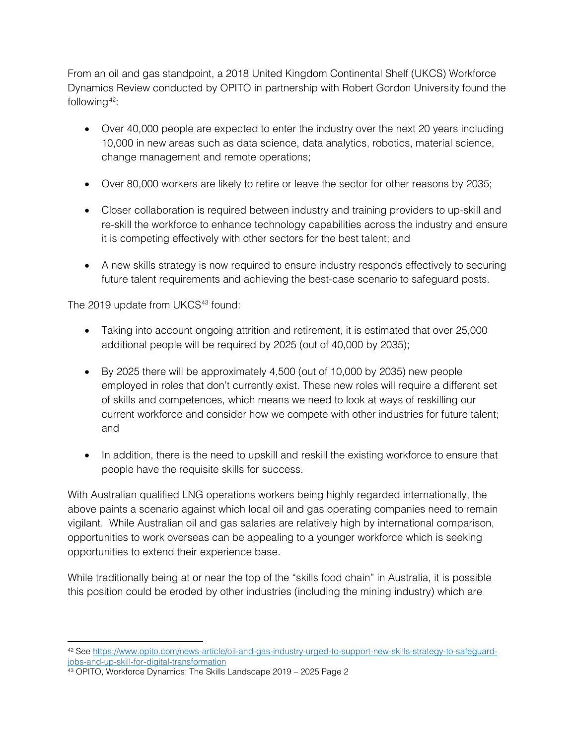From an oil and gas standpoint, a 2018 United Kingdom Continental Shelf (UKCS) Workforce Dynamics Review conducted by OPITO in partnership with Robert Gordon University found the following  $42$ :

- Over 40,000 people are expected to enter the industry over the next 20 years including 10,000 in new areas such as data science, data analytics, robotics, material science, change management and remote operations;
- Over 80,000 workers are likely to retire or leave the sector for other reasons by 2035;
- Closer collaboration is required between industry and training providers to up-skill and re-skill the workforce to enhance technology capabilities across the industry and ensure it is competing effectively with other sectors for the best talent; and
- A new skills strategy is now required to ensure industry responds effectively to securing future talent requirements and achieving the best-case scenario to safeguard posts.

The 2019 update from UKCS<sup>[43](#page-14-1)</sup> found:

- Taking into account ongoing attrition and retirement, it is estimated that over 25,000 additional people will be required by 2025 (out of 40,000 by 2035);
- By 2025 there will be approximately 4,500 (out of 10,000 by 2035) new people employed in roles that don't currently exist. These new roles will require a different set of skills and competences, which means we need to look at ways of reskilling our current workforce and consider how we compete with other industries for future talent; and
- In addition, there is the need to upskill and reskill the existing workforce to ensure that people have the requisite skills for success.

With Australian qualified LNG operations workers being highly regarded internationally, the above paints a scenario against which local oil and gas operating companies need to remain vigilant. While Australian oil and gas salaries are relatively high by international comparison, opportunities to work overseas can be appealing to a younger workforce which is seeking opportunities to extend their experience base.

While traditionally being at or near the top of the "skills food chain" in Australia, it is possible this position could be eroded by other industries (including the mining industry) which are

<span id="page-14-0"></span><sup>42</sup> Se[e https://www.opito.com/news-article/oil-and-gas-industry-urged-to-support-new-skills-strategy-to-safeguard](https://www.opito.com/news-article/oil-and-gas-industry-urged-to-support-new-skills-strategy-to-safeguard-jobs-and-up-skill-for-digital-transformation)[jobs-and-up-skill-for-digital-transformation](https://www.opito.com/news-article/oil-and-gas-industry-urged-to-support-new-skills-strategy-to-safeguard-jobs-and-up-skill-for-digital-transformation)

<span id="page-14-1"></span><sup>&</sup>lt;sup>43</sup> OPITO, Workforce Dynamics: The Skills Landscape 2019 - 2025 Page 2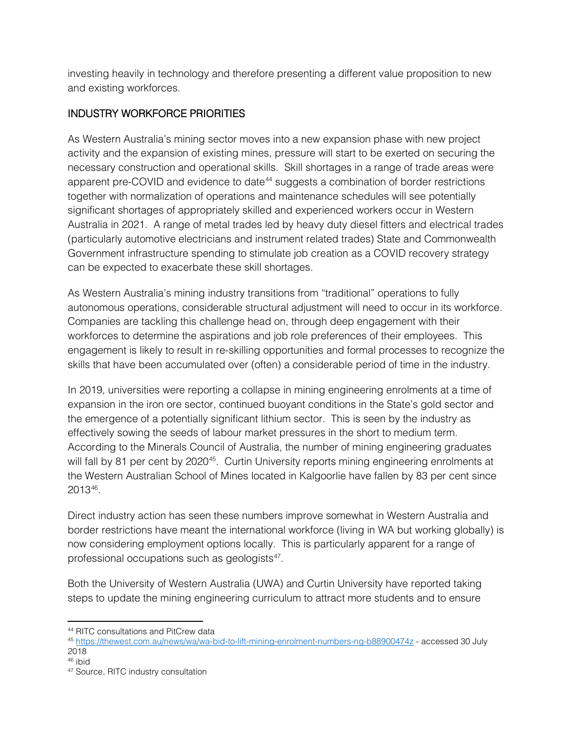investing heavily in technology and therefore presenting a different value proposition to new and existing workforces.

## INDUSTRY WORKFORCE PRIORITIES

As Western Australia's mining sector moves into a new expansion phase with new project activity and the expansion of existing mines, pressure will start to be exerted on securing the necessary construction and operational skills. Skill shortages in a range of trade areas were apparent pre-COVID and evidence to date<sup>[44](#page-15-0)</sup> suggests a combination of border restrictions together with normalization of operations and maintenance schedules will see potentially significant shortages of appropriately skilled and experienced workers occur in Western Australia in 2021. A range of metal trades led by heavy duty diesel fitters and electrical trades (particularly automotive electricians and instrument related trades) State and Commonwealth Government infrastructure spending to stimulate job creation as a COVID recovery strategy can be expected to exacerbate these skill shortages.

As Western Australia's mining industry transitions from "traditional" operations to fully autonomous operations, considerable structural adjustment will need to occur in its workforce. Companies are tackling this challenge head on, through deep engagement with their workforces to determine the aspirations and job role preferences of their employees. This engagement is likely to result in re-skilling opportunities and formal processes to recognize the skills that have been accumulated over (often) a considerable period of time in the industry.

In 2019, universities were reporting a collapse in mining engineering enrolments at a time of expansion in the iron ore sector, continued buoyant conditions in the State's gold sector and the emergence of a potentially significant lithium sector. This is seen by the industry as effectively sowing the seeds of labour market pressures in the short to medium term. According to the Minerals Council of Australia, the number of mining engineering graduates will fall by 81 per cent by 2020<sup>45</sup>. Curtin University reports mining engineering enrolments at the Western Australian School of Mines located in Kalgoorlie have fallen by 83 per cent since 2013[46](#page-15-2).

Direct industry action has seen these numbers improve somewhat in Western Australia and border restrictions have meant the international workforce (living in WA but working globally) is now considering employment options locally. This is particularly apparent for a range of professional occupations such as geologists $47$ .

Both the University of Western Australia (UWA) and Curtin University have reported taking steps to update the mining engineering curriculum to attract more students and to ensure

<span id="page-15-1"></span><span id="page-15-0"></span><sup>44</sup> RITC consultations and PitCrew data<br>45 <https://thewest.com.au/news/wa/wa-bid-to-lift-mining-enrolment-numbers-ng-b88900474z> - accessed 30 July 2018

<span id="page-15-2"></span><sup>46</sup> ibid

<span id="page-15-3"></span><sup>47</sup> Source, RITC industry consultation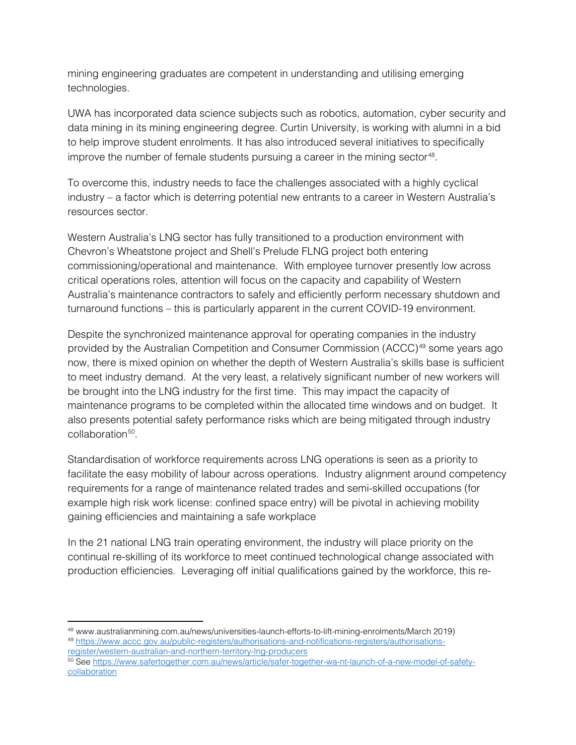mining engineering graduates are competent in understanding and utilising emerging technologies.

UWA has incorporated data science subjects such as robotics, automation, cyber security and data mining in its mining engineering degree. Curtin University, is working with alumni in a bid to help improve student enrolments. It has also introduced several initiatives to specifically improve the number of female students pursuing a career in the mining sector<sup>[48](#page-16-0)</sup>.

To overcome this, industry needs to face the challenges associated with a highly cyclical industry – a factor which is deterring potential new entrants to a career in Western Australia's resources sector.

Western Australia's LNG sector has fully transitioned to a production environment with Chevron's Wheatstone project and Shell's Prelude FLNG project both entering commissioning/operational and maintenance. With employee turnover presently low across critical operations roles, attention will focus on the capacity and capability of Western Australia's maintenance contractors to safely and efficiently perform necessary shutdown and turnaround functions – this is particularly apparent in the current COVID-19 environment.

Despite the synchronized maintenance approval for operating companies in the industry provided by the Australian Competition and Consumer Commission (ACCC)[49](#page-16-1) some years ago now, there is mixed opinion on whether the depth of Western Australia's skills base is sufficient to meet industry demand. At the very least, a relatively significant number of new workers will be brought into the LNG industry for the first time. This may impact the capacity of maintenance programs to be completed within the allocated time windows and on budget. It also presents potential safety performance risks which are being mitigated through industry collaboration<sup>[50](#page-16-2)</sup>

Standardisation of workforce requirements across LNG operations is seen as a priority to facilitate the easy mobility of labour across operations. Industry alignment around competency requirements for a range of maintenance related trades and semi-skilled occupations (for example high risk work license: confined space entry) will be pivotal in achieving mobility gaining efficiencies and maintaining a safe workplace

In the 21 national LNG train operating environment, the industry will place priority on the continual re-skilling of its workforce to meet continued technological change associated with production efficiencies. Leveraging off initial qualifications gained by the workforce, this re-

<span id="page-16-0"></span><sup>48</sup> www.australianmining.com.au/news/universities-launch-efforts-to-lift-mining-enrolments/March 2019) <sup>49</sup> [https://www.accc.gov.au/public-registers/authorisations-and-notifications-registers/authorisations-](https://www.accc.gov.au/public-registers/authorisations-and-notifications-registers/authorisations-register/western-australian-and-northern-territory-lng-producers)

<span id="page-16-1"></span>[register/western-australian-and-northern-territory-lng-producers](https://www.accc.gov.au/public-registers/authorisations-and-notifications-registers/authorisations-register/western-australian-and-northern-territory-lng-producers)

<span id="page-16-2"></span><sup>50</sup> Se[e https://www.safertogether.com.au/news/article/safer-together-wa-nt-launch-of-a-new-model-of-safety](https://www.safertogether.com.au/news/article/safer-together-wa-nt-launch-of-a-new-model-of-safety-collaboration)**[collaboration](https://www.safertogether.com.au/news/article/safer-together-wa-nt-launch-of-a-new-model-of-safety-collaboration)**